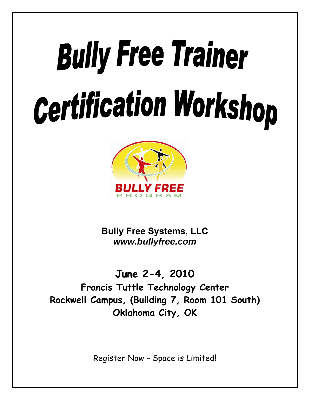# **Bully Free Trainer Certification Workshop**



**Bully Free Systems, LLC**  *www.bullyfree.com*

**June 2-4, 2010 Francis Tuttle Technology Center Rockwell Campus, (Building 7, Room 101 South) Oklahoma City, OK**

Register Now – Space is Limited!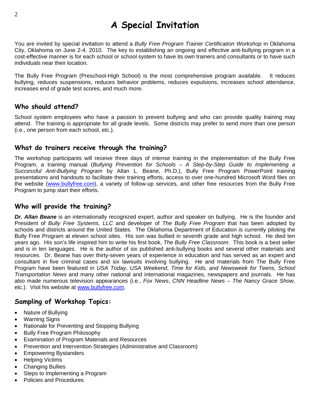# **A Special Invitation**

You are invited by special invitation to attend a *Bully Free Program Trainer Certification Workshop* in Oklahoma City, Oklahoma on June 2-4. 2010*.* The key to establishing an ongoing and effective anti-bullying program in a cost-effective manner is for each school or school system to have its own trainers and consultants or to have such individuals near their location.

The Bully Free Program (Preschool-High School) is the most comprehensive program available. It reduces bullying, reduces suspensions, reduces behavior problems, reduces expulsions, increases school attendance, increases end of grade test scores, and much more.

## **Who should attend?**

School system employees who have a passion to prevent bullying and who can provide quality training may attend. The training is appropriate for all grade levels. Some districts may prefer to send more than one person (i.e., one person from each school, etc.).

## **What do trainers receive through the training?**

The workshop participants will receive three days of intense training in the implementation of the Bully Free Program, a training manual (*Bullying Prevention for Schools – A Step-by-Step Guide to Implementing a Successful Anti-Bullying Program* by Allan L. Beane, Ph.D.), Bully Free Program PowerPoint training presentations and handouts to facilitate their training efforts, access to over one-hundred Microsoft Word files on the website [\(www.bullyfree.com\)](http://www.bullyfree.com/), a variety of follow-up services, and other free resources from the Bully Free Program to jump start their efforts.

### **Who will provide the training?**

*Dr. Allan Beane* is an internationally recognized expert, author and speaker on bullying. He is the founder and President of *Bully Free Systems, LLC* and developer of *The Bully Free Program* that has been adopted by schools and districts around the United States. The Oklahoma Department of Education is currently piloting the Bully Free Program at eleven school sites. His son was bullied in seventh grade and high school. He died ten years ago. His son's life inspired him to write his first book, *The Bully Free Classroom*. This book is a best seller and is in ten languages. He is the author of six published anti-bullying books and several other materials and resources. Dr. Beane has over thirty-seven years of experience in education and has served as an expert and consultant in five criminal cases and six lawsuits involving bullying. He and materials from The Bully Free Program have been featured in *USA Today*, *USA Weekend*, *Time for Kids, and Newsweek for Teens, School Transportation News* and many other national and international magazines, newspapers and journals. He has also made numerous television appearances (i.e., *Fox News*, *CNN Headline News – The Nancy Grace Show*, etc.). Visit his website at [www.bullyfree.com](http://www.bullyfree.com/).

### **Sampling of Workshop Topics:**

- Nature of Bullying
- Warning Signs
- Rationale for Preventing and Stopping Bullying
- Bully Free Program Philosophy
- Examination of Program Materials and Resources
- Prevention and Intervention Strategies (Administrative and Classroom)
- Empowering Bystanders
- Helping Victims
- Changing Bullies
- Steps to Implementing a Program
- Policies and Procedures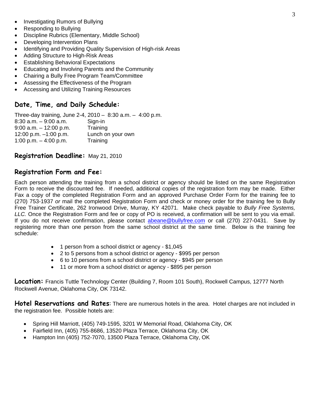- Investigating Rumors of Bullying
- Responding to Bullying
- Discipline Rubrics (Elementary, Middle School)
- Developing Intervention Plans
- Identifying and Providing Quality Supervision of High-risk Areas
- Adding Structure to High-Risk Areas
- **Establishing Behavioral Expectations**
- Educating and Involving Parents and the Community
- Chairing a Bully Free Program Team/Committee
- Assessing the Effectiveness of the Program
- Accessing and Utilizing Training Resources

## **Date, Time, and Daily Schedule:**

Three-day training, June 2-4, 2010 – 8:30 a.m. – 4:00 p.m. 8:30 a.m. – 9:00 a.m. Sign-in 9:00 a.m. – 12:00 p.m. Training 12:00 p.m. –1:00 p.m. Lunch on your own 1:00 p.m. – 4:00 p.m. Training

### **Registration Deadline:** May 21, 2010

### **Registration Form and Fee:**

Each person attending the training from a school district or agency should be listed on the same Registration Form to receive the discounted fee. If needed, additional copies of the registration form may be made. Either Fax a copy of the completed Registration Form and an approved Purchase Order Form for the training fee to (270) 753-1937 *or* mail the completed Registration Form and check or money order for the training fee to Bully Free Trainer Certificate, 262 Ironwood Drive, Murray, KY 42071. Make check payable to *Bully Free Systems, LLC.* Once the Registration Form and fee or copy of PO is received, a confirmation will be sent to you via email. If you do not receive confirmation, please contact [abeane@bullyfree.com](mailto:abeane@bullyfree.com) or call (270) 227-0431. Save by registering more than one person from the same school district at the same time. Below is the training fee schedule:

- 1 person from a school district or agency \$1,045
- 2 to 5 persons from a school district or agency \$995 per person
- 6 to 10 persons from a school district or agency \$945 per person
- 11 or more from a school district or agency \$895 per person

**Location:** Francis Tuttle Technology Center (Building 7, Room 101 South), Rockwell Campus, 12777 North Rockwell Avenue, Oklahoma City, OK 73142.

**Hotel Reservations and Rates**: There are numerous hotels in the area. Hotel charges are not included in the registration fee. Possible hotels are:

- Spring Hill Marriott, (405) 749-1595, 3201 W Memorial Road, Oklahoma City, OK
- Fairfield Inn, (405) 755-8686, 13520 Plaza Terrace, Oklahoma City, OK
- Hampton Inn (405) 752-7070, 13500 Plaza Terrace, Oklahoma City, OK